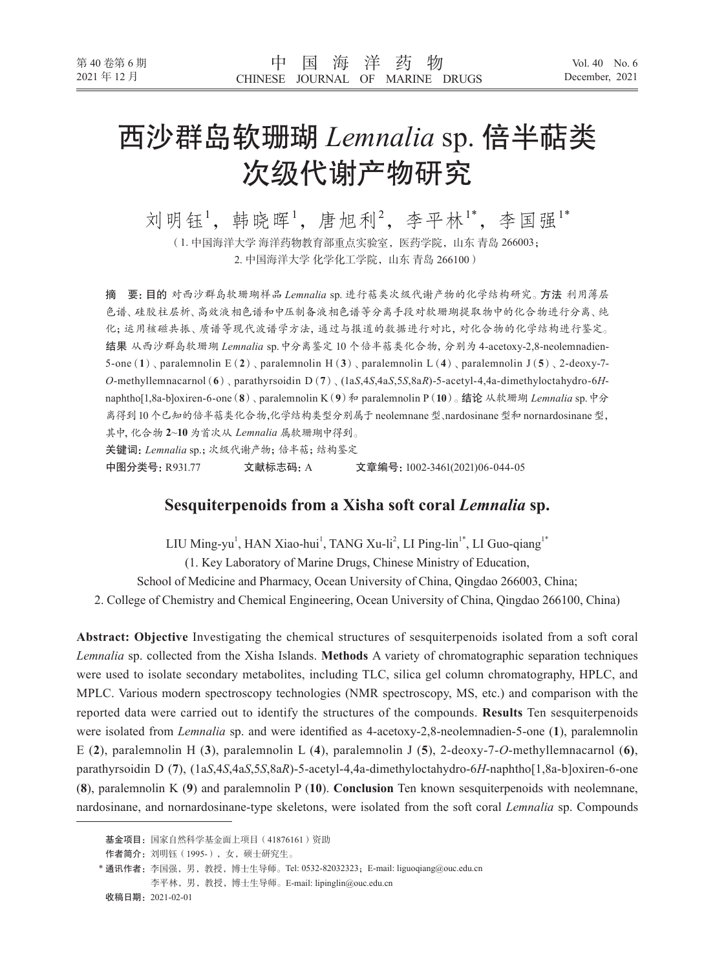# 西沙群岛软珊瑚 *Lemnalia* sp. 倍半萜类 次级代谢产物研究

刘明钰1,韩晓晖1,唐旭利2,李平林1\*,李国强1\*

(1. 中国海洋大学 海洋药物教育部重点实验室,医药学院,山东 青岛 266003; 2. 中国海洋大学 化学化工学院,山东 青岛 266100)

摘 要:目的 对西沙群岛软珊瑚样品 *Lemnalia* sp. 进行萜类次级代谢产物的化学结构研究。方法 利用薄层 色谱、硅胶柱层析、高效液相色谱和中压制备液相色谱等分离手段对软珊瑚提取物中的化合物进行分离、纯 化;运用核磁共振、质谱等现代波谱学方法,通过与报道的数据进行对比,对化合物的化学结构进行鉴定。 结果 从西沙群岛软珊瑚 *Lemnalia* sp.中分离鉴定 10 个倍半萜类化合物,分别为 4-acetoxy-2,8-neolemnadien-5-one(**1**)、paralemnolin E(**2**)、paralemnolin H(**3**)、paralemnolin L(**4**)、paralemnolin J(**5**)、2-deoxy-7- *O*-methyllemnacarnol(**6**)、parathyrsoidin D(**7**)、(1a*S*,4*S*,4a*S*,5*S*,8a*R*)-5-acetyl-4,4a-dimethyloctahydro-6*H*naphtho[1,8a-b]oxiren-6-one(**8**)、paralemnolin K(**9**)和 paralemnolin P(**10**)。结论 从软珊瑚 *Lemnalia* sp.中分 离得到10 个已知的倍半萜类化合物,化学结构类型分别属于 neolemnane型、nardosinane型和 nornardosinane型, 其中,化合物 **2**~**10** 为首次从 *Lemnalia* 属软珊瑚中得到。 关键词:*Lemnalia* sp.;次级代谢产物;倍半萜;结构鉴定 中图分类号:R931.77 文献标志码:A 文章编号:1002-3461(2021)06-044-05

# **Sesquiterpenoids from a Xisha soft coral** *Lemnalia* **sp.**

LIU Ming-yu<sup>1</sup>, HAN Xiao-hui<sup>1</sup>, TANG Xu-li<sup>2</sup>, LI Ping-lin<sup>1\*</sup>, LI Guo-qiang<sup>1\*</sup> (1. Key Laboratory of Marine Drugs, Chinese Ministry of Education, School of Medicine and Pharmacy, Ocean University of China, Qingdao 266003, China; 2. College of Chemistry and Chemical Engineering, Ocean University of China, Qingdao 266100, China)

**Abstract: Objective** Investigating the chemical structures of sesquiterpenoids isolated from a soft coral *Lemnalia* sp. collected from the Xisha Islands. **Methods** A variety of chromatographic separation techniques were used to isolate secondary metabolites, including TLC, silica gel column chromatography, HPLC, and MPLC. Various modern spectroscopy technologies (NMR spectroscopy, MS, etc.) and comparison with the reported data were carried out to identify the structures of the compounds. **Results** Ten sesquiterpenoids were isolated from *Lemnalia* sp. and were identified as 4-acetoxy-2,8-neolemnadien-5-one (**1**), paralemnolin E (**2**), paralemnolin H (**3**), paralemnolin L (**4**), paralemnolin J (**5**), 2-deoxy-7-*O*-methyllemnacarnol (**6)**, parathyrsoidin D (**7**), (1a*S*,4*S*,4a*S*,5*S*,8a*R*)-5-acetyl-4,4a-dimethyloctahydro-6*H*-naphtho[1,8a-b]oxiren-6-one (**8**), paralemnolin K (**9**) and paralemnolin P (**10**). **Conclusion** Ten known sesquiterpenoids with neolemnane, nardosinane, and nornardosinane-type skeletons, were isolated from the soft coral *Lemnalia* sp. Compounds

基金项目:国家自然科学基金面上项目(41876161)资助

作者简介:刘明钰(1995-),女,硕士研究生。

<sup>\*</sup> 通讯作者: 李国强, 男, 教授, 博士生导师。Tel: 0532-82032323; E-mail: liguoqiang@ouc.edu.cn 李平林,男,教授,博士生导师。E-mail: lipinglin@ouc.edu.cn

收稿日期:2021-02-01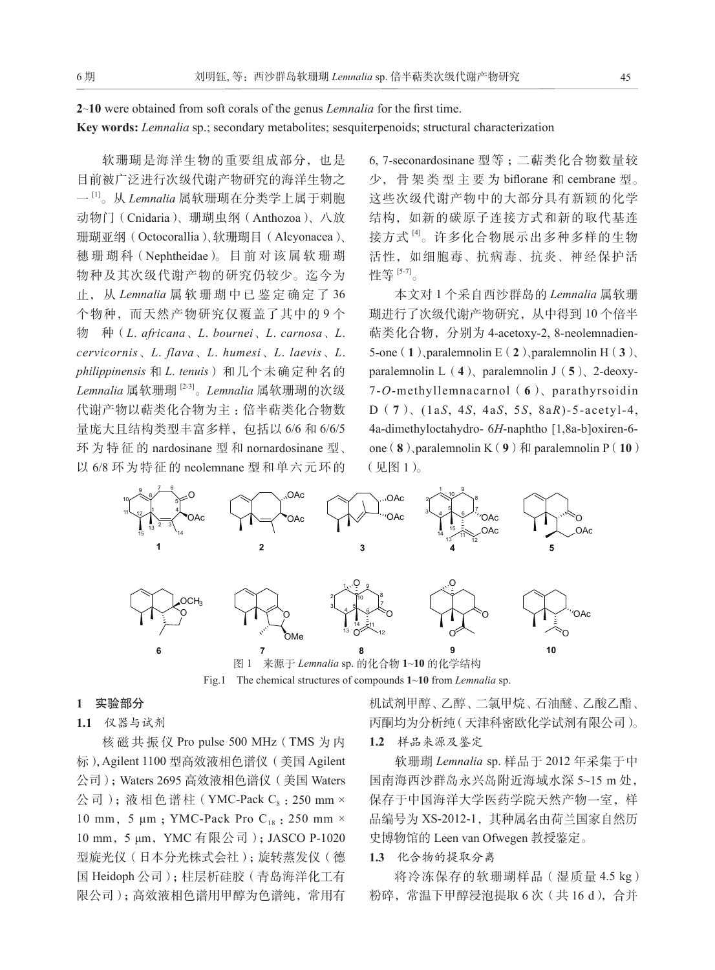# **2**~**10** were obtained from soft corals of the genus *Lemnalia* for the first time.

## **Key words:** *Lemnalia* sp.; secondary metabolites; sesquiterpenoids; structural characterization

软珊瑚是海洋生物的重要组成部分,也是 目前被广泛进行次级代谢产物研究的海洋生物之 一 [1]。从 *Lemnalia* 属软珊瑚在分类学上属于刺胞 动物门(Cnidaria)、珊瑚虫纲(Anthozoa)、八放 珊瑚亚纲(Octocorallia)、软珊瑚目(Alcyonacea)、 穗 珊 瑚 科(Nephtheidae)。 目 前 对 该 属 软 珊 瑚 物种及其次级代谢产物的研究仍较少。迄今为 止, 从 *Lemnalia* 属软珊瑚中已鉴定确定了 36 个物种,而天然产物研究仅覆盖了其中的 9 个 物 种(*L*. *africana*、*L*. *bournei*、*L*. *carnosa*、*L*. *cervicornis*、*L*. *flava*、*L*. *humesi*、*L*. *laevis*、*L*. *philippinensis* 和 *L*. *tenuis*)和几个未确定种名的 *Lemnalia* 属软珊瑚 [2-3]。*Lemnalia* 属软珊瑚的次级 代谢产物以萜类化合物为主 :倍半萜类化合物数 量庞大且结构类型丰富多样,包括以 6/6 和 6/6/5 环为特征的 nardosinane 型 和 nornardosinane 型、 以 6/8 环为特征的 neolemnane 型和单六元环的

6, 7-seconardosinane 型等 ;二萜类化合物数量较 少, 骨 架 类 型 主 要 为 biflorane 和 cembrane 型。 这些次级代谢产物中的大部分具有新颖的化学 结构,如新的碳原子连接方式和新的取代基连 接方式 [4]。许多化合物展示出多种多样的生物 活性,如细胞毒、抗病毒、抗炎、神经保护活 性等 [5-7]。

本文对 1 个采自西沙群岛的 *Lemnalia* 属软珊 瑚进行了次级代谢产物研究,从中得到 10 个倍半 萜类化合物,分别为 4-acetoxy-2, 8-neolemnadien-5-one(**1**)、paralemnolin E(**2**)、paralemnolin H(**3**)、 paralemnolin L(**4**)、paralemnolin J(**5**)、2-deoxy-7-*O*-methyllemnacarnol(**6**)、parathyrsoidin D(**7**)、(1a*S*, 4*S*, 4a*S*, 5*S*, 8a*R*)-5-acetyl-4, 4a-dimethyloctahydro- 6*H*-naphtho [1,8a-b]oxiren-6 one  $(8)$ , paralemnolin K $(9)$   $\textcircled{1}$  paralemnolin P $(10)$ (见图 1)。



图 1 来源于 *Lemnalia* sp. 的化合物 **1**~**10** 的化学结构 Fig.1 The chemical structures of compounds **1**~**10** from *Lemnalia* sp.

#### **1** 实验部分

# **1.1** 仪器与试剂

核磁共振仪 Pro pulse 500 MHz(TMS 为 内 标),Agilent 1100 型高效液相色谱仪(美国 Agilent 公司);Waters 2695 高效液相色谱仪(美国 Waters 公司);液相色谱柱(YMC-Pack  $C_8$ : 250 mm  $\times$ 10 mm, 5 μm; YMC-Pack Pro C<sub>18</sub>: 250 mm × 10 mm,5 μm,YMC 有限公司);JASCO P-1020 型旋光仪(日本分光株式会社);旋转蒸发仪(德 国 Heidoph 公司);柱层析硅胶(青岛海洋化工有 限公司);高效液相色谱用甲醇为色谱纯,常用有 机试剂甲醇、乙醇、二氯甲烷、石油醚、乙酸乙酯、 丙酮均为分析纯(天津科密欧化学试剂有限公司)。 **1.2** 样品来源及鉴定

软珊瑚 *Lemnalia* sp. 样品于 2012 年采集于中 国南海西沙群岛永兴岛附近海域水深 5~15 m 处, 保存于中国海洋大学医药学院天然产物一室,样 品编号为 XS-2012-1, 其种属名由荷兰国家自然历 史博物馆的 Leen van Ofwegen 教授鉴定。

## **1.3** 化合物的提取分离

将冷冻保存的软珊瑚样品(湿质量 4.5 kg) 粉碎, 常温下甲醇浸泡提取 6 次 (共 16 d), 合并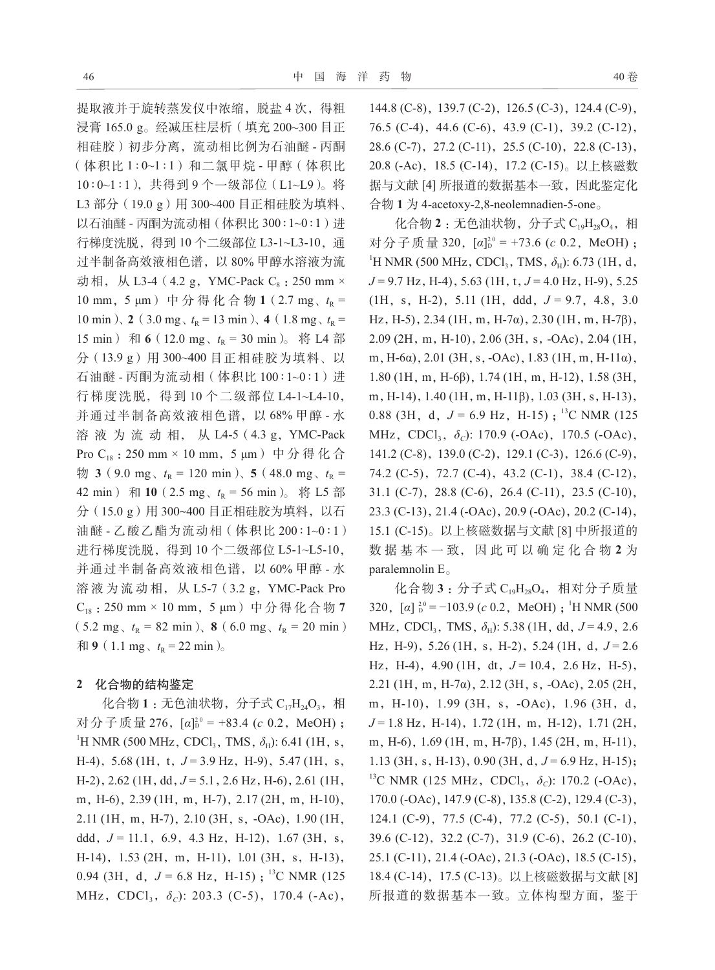提取液并于旋转蒸发仪中浓缩, 脱盐 4 次, 得粗 浸膏 165.0 g。经减压柱层析(填充 200~300 目正 相硅胶)初步分离,流动相比例为石油醚 - 丙酮 (体积比 1∶0~1∶1)和二氯甲烷 - 甲醇(体积比 10∶0~1∶1),共得到 9 个一级部位(L1~L9)。将 L3 部分 (19.0 g) 用 300~400 目正相硅胶为填料、 以石油醚 - 丙酮为流动相(体积比 300∶1~0∶1)进 行梯度洗脱, 得到 10 个二级部位 L3-1~L3-10, 通 过半制备高效液相色谱,以 80% 甲醇水溶液为流 动相, 从 L3-4 (4.2 g, YMC-Pack  $C_8$ : 250 mm × 10 mm, 5 μm) 中分得化合物 1 (2.7 mg、t<sub>R</sub> = 10 min)、2 (3.0 mg、 $t_R = 13$  min)、4 (1.8 mg、 $t_R = 1$ 15 min) 和 6 (12.0 mg、 $t_R = 30$  min)。将 L4 部 分(13.9 g)用 300~400 目正相硅胶为填料、以 石油醚 - 丙酮为流动相(体积比 100∶1~0∶1)进 行梯度洗脱,得到 10 个二级部位 L4-1~L4-10, 并通过半制备高效液相色谱,以 68% 甲醇 - 水 溶 液 为 流 动 相, 从 L4-5(4.3 g,YMC-Pack Pro C<sub>18</sub>: 250 mm × 10 mm, 5 μm) 中分得化合  $\frac{1}{2}$  **3** (9.0 mg,  $t_R$  = 120 min), **5** (48.0 mg,  $t_R$  = 42 min) 和 10 (2.5 mg、t<sub>R</sub> = 56 min)。将 L5 部 分(15.0 g)用 300~400 目正相硅胶为填料, 以石 油醚 - 乙酸乙酯为流动相(体积比 200∶1~0∶1) 进行梯度洗脱, 得到 10 个二级部位 L5-1~L5-10, 并通过半制备高效液相色谱,以 60% 甲醇 - 水 溶 液 为 流 动 相, 从 L5-7(3.2 g,YMC-Pack Pro  $C_{18}$  : 250 mm × 10 mm, 5 μm) 中分得化合物 7  $(5.2 \text{ mg}, t_R = 82 \text{ min}),$  **8**  $(6.0 \text{ mg}, t_R = 20 \text{ min})$  $\bar{p}$  (1.1 mg,  $t_{\rm R}$  = 22 min)<sub>。</sub>

#### **2** 化合物的结构鉴定

化合物 1 : 无色油状物, 分子式 C<sub>17</sub>H<sub>24</sub>O<sub>3</sub>, 相 对分子质量 276, [*α*]<sup> $2$ 0</sup> = +83.4 (*c* 0.2, MeOH);  ${}^{1}\text{H NMR}$  (500 MHz, CDCl<sub>3</sub>, TMS,  $\delta_{\text{H}}$ ): 6.41 (1H, s, H-4), 5.68 (1H, t, J = 3.9 Hz, H-9), 5.47 (1H, s, H-2),2.62 (1H,dd,*J* = 5.1,2.6 Hz,H-6),2.61 (1H, m, H-6), 2.39 (1H, m, H-7), 2.17 (2H, m, H-10), 2.11 (1H,m,H-7),2.10 (3H,s,-OAc),1.90 (1H, ddd,  $J = 11.1, 6.9, 4.3$  Hz, H-12), 1.67 (3H, s, H-14), 1.53 (2H, m, H-11), 1.01 (3H, s, H-13), 0.94 (3H, d,  $J = 6.8$  Hz, H-15);<sup>13</sup>C NMR (125) MHz, CDCl<sub>3</sub>, δ<sub>*C*</sub>): 203.3 (C-5), 170.4 (-Ac),

144.8 (C-8), 139.7 (C-2), 126.5 (C-3), 124.4 (C-9), 76.5 (C-4),44.6 (C-6),43.9 (C-1),39.2 (C-12), 28.6 (C-7),27.2 (C-11),25.5 (C-10),22.8 (C-13), 20.8 (-Ac),18.5 (C-14),17.2 (C-15)。以上核磁数 据与文献 [4] 所报道的数据基本一致,因此鉴定化 合物 **1** 为 4-acetoxy-2,8-neolemnadien-5-one。

化合物 2 : 无色油状物, 分子式 C<sub>19</sub>H<sub>28</sub>O<sub>4</sub>, 相 对分子质量 320, [*α*]<sup>20</sup> = +73.6 (*c* 0.2, MeOH); <sup>1</sup>H NMR (500 MHz, CDCl<sub>3</sub>, TMS,  $\delta_{\rm H}$ ): 6.73 (1H, d, *J* = 9.7 Hz, H-4), 5.63 (1H, t, *J* = 4.0 Hz, H-9), 5.25 (1H,s,H-2),5.11 (1H,ddd,*J* = 9.7,4.8,3.0 Hz,H-5),2.34 (1H,m,H-7α),2.30 (1H,m,H-7β), 2.09 (2H,m,H-10),2.06 (3H,s,-OAc),2.04 (1H, m,H-6α),2.01 (3H,s,-OAc),1.83 (1H,m,H-11α), 1.80 (1H,m,H-6β),1.74 (1H,m,H-12),1.58 (3H, m, H-14), 1.40 (1H, m, H-11β), 1.03 (3H, s, H-13), 0.88 (3H, d,  $J = 6.9$  Hz, H-15);<sup>13</sup>C NMR (125) MHz, CDCl<sub>3</sub>, *δ*<sub>*C*</sub>): 170.9 (-OAc), 170.5 (-OAc), 141.2 (C-8), 139.0 (C-2), 129.1 (C-3), 126.6 (C-9), 74.2 (C-5),72.7 (C-4),43.2 (C-1),38.4 (C-12), 31.1 (C-7),28.8 (C-6),26.4 (C-11),23.5 (C-10), 23.3 (C-13),21.4 (-OAc),20.9 (-OAc),20.2 (C-14), 15.1 (C-15)。以上核磁数据与文献 [8] 中所报道的 数 据 基 本 一 致, 因 此 可 以 确 定 化 合 物 **2** 为 paralemnolin E。

化合物 **3** :分子式 C19H28O4,相对分子质量 320,  $[\alpha]_D^{20} = -103.9$  (*c* 0.2, MeOH);<sup>1</sup>H NMR (500) MHz, CDCl<sub>3</sub>, TMS,  $δ$ <sub>H</sub>): 5.38 (1H, dd, *J* = 4.9, 2.6 Hz, H-9), 5.26 (1H, s, H-2), 5.24 (1H, d,  $J = 2.6$ Hz, H-4), 4.90 (1H, dt,  $J = 10.4$ , 2.6 Hz, H-5), 2.21 (1H,m,H-7α),2.12 (3H,s,-OAc),2.05 (2H, m,H-10),1.99 (3H,s,-OAc),1.96 (3H,d, *J* = 1.8 Hz, H-14), 1.72 (1H, m, H-12), 1.71 (2H, m, H-6), 1.69 (1H, m, H-7β), 1.45 (2H, m, H-11), 1.13 (3H, s, H-13), 0.90 (3H, d,  $J = 6.9$  Hz, H-15); <sup>13</sup>C NMR (125 MHz, CDCl<sub>3</sub>,  $\delta_c$ ): 170.2 (-OAc), 170.0 (-OAc),147.9 (C-8),135.8 (C-2),129.4 (C-3), 124.1 (C-9), 77.5 (C-4), 77.2 (C-5), 50.1 (C-1), 39.6 (C-12),32.2 (C-7),31.9 (C-6),26.2 (C-10), 25.1 (C-11),21.4 (-OAc),21.3 (-OAc),18.5 (C-15), 18.4 (C-14), 17.5 (C-13)。以上核磁数据与文献 [8] 所报道的数据基本一致。立体构型方面,鉴于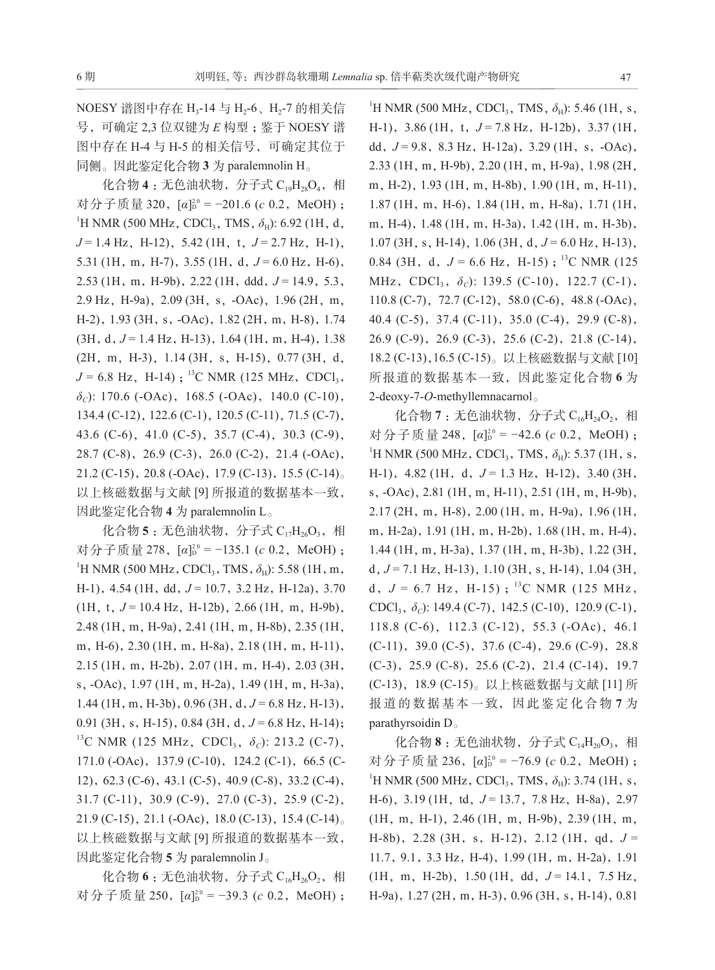NOESY 谱图中存在 H<sub>3</sub>-14 与 H<sub>2</sub>-6、H<sub>2</sub>-7 的相关信 号,可确定 2,3 位双键为  $E$  构型; 鉴于 NOESY 谱 图中存在 H-4 与 H-5 的相关信号,可确定其位于 同侧。因此鉴定化合物 **3** 为 paralemnolin H。

化合物 4 : 无色油状物, 分子式 C<sub>19</sub>H<sub>28</sub>O<sub>4</sub>, 相 对分子质量 320, [*α*]<sup>2</sup>° = −201.6 (*c* 0.2, MeOH) ; <sup>1</sup>H NMR (500 MHz, CDCl<sub>3</sub>, TMS, *δ*<sub>H</sub>): 6.92 (1H, d, *J* = 1.4 Hz, H-12), 5.42 (1H, t, *J* = 2.7 Hz, H-1), 5.31 (1H, m, H-7), 3.55 (1H, d,  $J = 6.0$  Hz, H-6), 2.53 (1H, m, H-9b), 2.22 (1H, ddd,  $J = 14.9, 5.3$ , 2.9 Hz,H-9a),2.09 (3H,s,-OAc),1.96 (2H,m, H-2),1.93 (3H,s,-OAc),1.82 (2H,m,H-8),1.74  $(3H, d, J = 1.4 Hz, H-13), 1.64 (1H, m, H-4), 1.38$ (2H,m,H-3),1.14 (3H,s,H-15),0.77 (3H,d,  $J = 6.8$  Hz, H-14) ;<sup>13</sup>C NMR (125 MHz, CDCl<sub>3</sub>, *δC*): 170.6 (-OAc),168.5 (-OAc),140.0 (C-10), 134.4 (C-12), 122.6 (C-1), 120.5 (C-11), 71.5 (C-7), 43.6 (C-6),41.0 (C-5),35.7 (C-4),30.3 (C-9), 28.7 (C-8),26.9 (C-3),26.0 (C-2),21.4 (-OAc), 21.2 (C-15),20.8 (-OAc),17.9 (C-13),15.5 (C-14)。 以上核磁数据与文献 [9] 所报道的数据基本一致, 因此鉴定化合物 **4** 为 paralemnolin L。

化合物 5 : 无色油状物, 分子式 C<sub>17</sub>H<sub>26</sub>O<sub>3</sub>, 相 对分子质量 278, [*α*]<sup>2</sup>° = −135.1 (*c* 0.2, MeOH) ; <sup>1</sup>H NMR (500 MHz, CDCl<sub>3</sub>, TMS,  $\delta_{\text{H}}$ ): 5.58 (1H, m, H-1), 4.54 (1H, dd,  $J = 10.7$ , 3.2 Hz, H-12a), 3.70  $(1H, t, J = 10.4 Hz, H-12b), 2.66 (1H, m, H-9b),$ 2.48 (1H,m,H-9a),2.41 (1H,m,H-8b),2.35 (1H, m, H-6), 2.30 (1H, m, H-8a), 2.18 (1H, m, H-11), 2.15 (1H,m,H-2b),2.07 (1H,m,H-4),2.03 (3H, s,-OAc),1.97 (1H,m,H-2a),1.49 (1H,m,H-3a), 1.44 (1H, m, H-3b), 0.96 (3H, d,  $J = 6.8$  Hz, H-13), 0.91 (3H, s, H-15), 0.84 (3H, d,  $J = 6.8$  Hz, H-14); <sup>13</sup>C NMR (125 MHz, CDCl<sub>3</sub>, *δ<sub>C</sub>*): 213.2 (C-7), 171.0 (-OAc), 137.9 (C-10), 124.2 (C-1), 66.5 (C-12),62.3 (C-6),43.1 (C-5),40.9 (C-8),33.2 (C-4), 31.7 (C-11),30.9 (C-9),27.0 (C-3),25.9 (C-2), 21.9 (C-15),21.1 (-OAc),18.0 (C-13),15.4 (C-14)。 以上核磁数据与文献 [9] 所报道的数据基本一致, 因此鉴定化合物 **5** 为 paralemnolin J。

化合物 6 : 无色油状物, 分子式 C<sub>16</sub>H<sub>26</sub>O<sub>2</sub>, 相 对分子质量 250, [*α*]<sup>2</sup>° = −39.3 (*c* 0.2, MeOH) ;

<sup>1</sup>H NMR (500 MHz, CDCl<sub>3</sub>, TMS,  $\delta_{\rm H}$ ): 5.46 (1H, s, H-1), 3.86 (1H, t, J = 7.8 Hz, H-12b), 3.37 (1H, dd,  $J = 9.8$ , 8.3 Hz, H-12a), 3.29 (1H, s, -OAc), 2.33 (1H,m,H-9b),2.20 (1H,m,H-9a),1.98 (2H, m, H-2), 1.93 (1H, m, H-8b), 1.90 (1H, m, H-11), 1.87 (1H,m,H-6),1.84 (1H,m,H-8a),1.71 (1H, m, H-4), 1.48 (1H, m, H-3a), 1.42 (1H, m, H-3b), 1.07 (3H, s, H-14), 1.06 (3H, d,  $J = 6.0$  Hz, H-13), 0.84 (3H, d,  $J = 6.6$  Hz, H-15);<sup>13</sup>C NMR (125) MHz, CDCl<sub>3</sub>, δ<sub>*C*</sub>): 139.5 (C-10), 122.7 (C-1), 110.8 (C-7), 72.7 (C-12), 58.0 (C-6), 48.8 (-OAc), 40.4 (C-5),37.4 (C-11),35.0 (C-4),29.9 (C-8), 26.9 (C-9),26.9 (C-3),25.6 (C-2),21.8 (C-14), 18.2 (C-13),16.5 (C-15)。以上核磁数据与文献 [10] 所报道的数据基本一致,因此鉴定化合物 **6** 为 2-deoxy-7-*O*-methyllemnacarnol。

化合物 7 : 无色油状物, 分子式 C<sub>16</sub>H<sub>24</sub>O<sub>2</sub>, 相 对分子质量 248, [*α*]<sup> $2$ 0</sup> = −42.6 (*c* 0.2, MeOH); <sup>1</sup>H NMR (500 MHz, CDCl<sub>3</sub>, TMS,  $\delta_{\rm H}$ ): 5.37 (1H, s, H-1), 4.82 (1H, d, J = 1.3 Hz, H-12), 3.40 (3H, s, -OAc), 2.81 (1H, m, H-11), 2.51 (1H, m, H-9b), 2.17 (2H,m,H-8),2.00 (1H,m,H-9a),1.96 (1H, m, H-2a), 1.91 (1H, m, H-2b), 1.68 (1H, m, H-4), 1.44 (1H,m,H-3a),1.37 (1H,m,H-3b),1.22 (3H, d,  $J = 7.1$  Hz, H-13), 1.10 (3H, s, H-14), 1.04 (3H, d,  $J = 6.7$  Hz, H-15);<sup>13</sup>C NMR (125 MHz, CDCl3,*δC*): 149.4 (C-7),142.5 (C-10),120.9 (C-1), 118.8 (C-6), 112.3 (C-12), 55.3 (-OAc), 46.1  $(C-11)$ , 39.0  $(C-5)$ , 37.6  $(C-4)$ , 29.6  $(C-9)$ , 28.8 (C-3),25.9 (C-8),25.6 (C-2),21.4 (C-14),19.7 (C-13),18.9 (C-15)。以上核磁数据与文献 [11] 所 报 道 的 数 据 基 本 一 致, 因 此 鉴 定 化 合 物 **7** 为 parathyrsoidin D。

 $4C_4$ 物 **8** : 无色油状物, 分子式  $C_{14}H_{20}O_3$ , 相 对分子质量 236, [*α*]<sup>2</sup><sup>0</sup> = −76.9 (*c* 0.2, MeOH); <sup>1</sup>H NMR (500 MHz, CDCl<sub>3</sub>, TMS,  $\delta_{\rm H}$ ): 3.74 (1H, s, H-6), 3.19 (1H, td,  $J = 13.7$ , 7.8 Hz, H-8a), 2.97 (1H,m,H-1),2.46 (1H,m,H-9b),2.39 (1H,m, H-8b),2.28 (3H,s,H-12),2.12 (1H,qd,*J* = 11.7, 9.1, 3.3 Hz, H-4), 1.99 (1H, m, H-2a), 1.91 (1H,m,H-2b),1.50 (1H,dd,*J* = 14.1,7.5 Hz, H-9a), 1.27 (2H, m, H-3), 0.96 (3H, s, H-14), 0.81